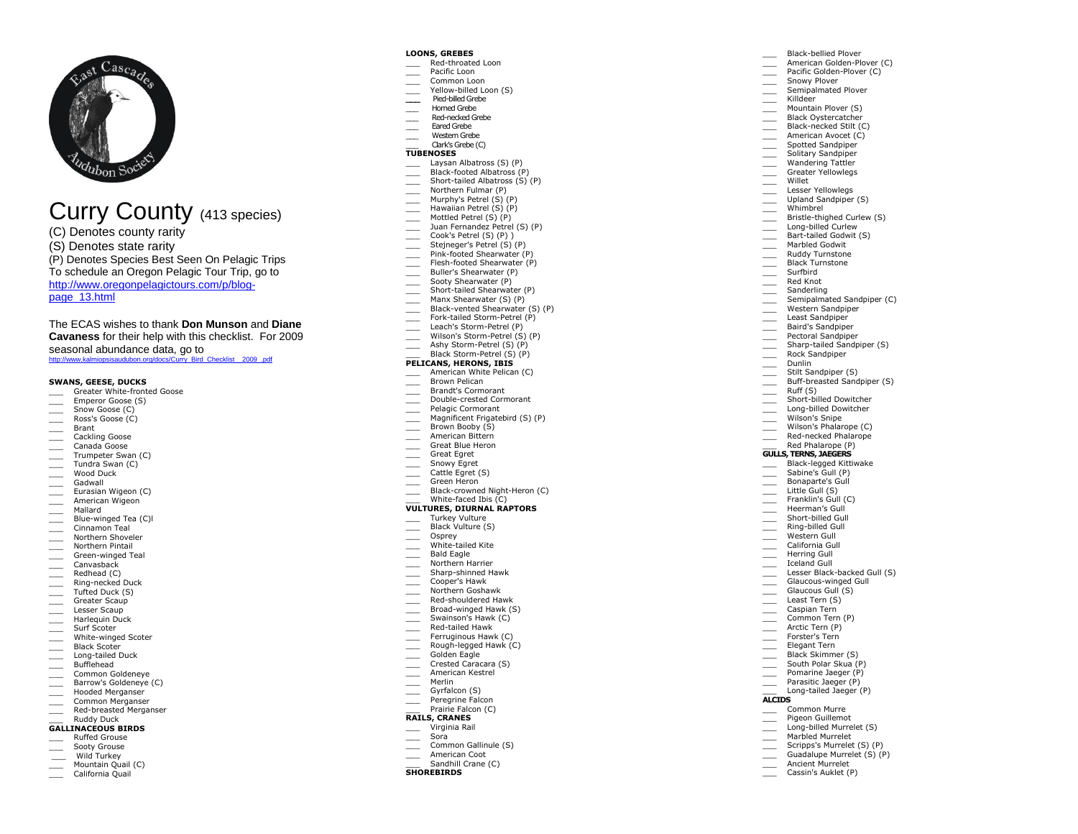

# Curry County ( 4 1 <sup>3</sup> species)

- (C) Denotes county rarity
- (S) Denotes state rarity

(P) Denotes Species Best Seen On Pelagic Trips

To schedule an Oregon Pelagic Tour Trip, go to

[http://www.oregonpelagictours.com/p/blog](http://www.oregonpelagictours.com/p/blog-page_13.html) -

[page\\_13.html](http://www.oregonpelagictours.com/p/blog-page_13.html) 

The ECAS wishes to thank **Don Munson** and **Diane Cavaness** for their help with this checklist. For 2009 seasonal abundance data, go to [http://www.kalmiopsisaudubon.org/docs/Curry\\_Bird\\_Checklist\\_\\_2009\\_.pdf](http://www.kalmiopsisaudubon.org/docs/Curry_Bird_Checklist__2009_.pdf)

# **SWANS, GEESE, DUCKS**

- \_\_\_ Greater White -fronted Goose
- Emperor Goose (S)
- Snow Goose (C) \_\_\_ Ross's Goose (C)
- 
- \_\_\_ Brant
- \_\_\_ Cackling Goose
- \_\_\_ Canada Goose Trumpeter Swan (C)
- \_\_\_ Tundra Swan (C)
- Wood Duck
- \_\_\_ Gadwall
- Eurasian Wigeon (C)
- \_\_\_ American Wigeon
- \_\_\_ Mallard
- \_\_\_ Blue -winged Tea (C)l
- \_\_\_ Cinnamon Teal
- \_\_\_ Northern Shoveler
- \_\_\_ Northern Pintail
- \_\_\_ Green -winged Teal
- \_\_\_ Canvasback
- \_\_\_ Redhead (C)
- \_\_\_ Ring -necked Duck
- Tufted Duck (S)<br>Greater Scaun
- 
- \_\_\_ Greater Scaup \_\_\_ Lesser Scaup
- \_\_\_ Harlequin Duck
- \_\_\_ Surf Scoter \_\_\_ White -winged Scoter
- \_\_\_ Black Scoter
- \_\_\_ Long -tailed Duck
- \_\_\_ Bufflehead
- \_\_\_ Common Goldeneye
- Barrow's Goldeneye (C) Hooded Merganser
- **Common Merganser**
- \_\_\_ Red -breasted Merganser

# \_\_\_ Ruddy Duck

- **GALLINACEOUS BIRDS**
- \_\_\_ Ruffed Grouse
- Sooty Grouse Wild Turkey
- 
- Mountain Quail (C) California Quail

### **LOONS, GREBES**

- \_\_\_ Red -throated Loon
- Pacific Loon
- Common Loon
- \_\_\_ Yellow -billed Loon (S)

\_\_\_ Black -bellied Plover \_\_\_ American Golden -Plover (C) \_\_\_ Pacific Golden -Plover (C) Snowy Plover **Example 1** Semipalmated Plover

Mountain Plover (S) Black Oystercatcher \_\_\_ Black -necked Stilt (C) American Avocet (C) \_\_\_ Spotted Sandpiper \_\_\_ Solitary Sandpiper Wandering Tattler Greater Yellowlegs \_\_\_ Willet Lesser Yellowlegs Upland Sandpiper (S) \_\_\_ Whimbrel \_\_\_ Bristle -thighed Curlew (S) \_\_\_ Long -billed Curlew \_\_\_ Bart -tailed Godwit (S) Marbled Godwit \_\_\_ Ruddy Turnstone Black Turnstone \_\_\_ Surfbird \_\_\_ Red Knot **Sanderling** 

Semipalmated Sandpiper (C) Western Sandpiper Least Sandpiper \_\_\_ Baird's Sandpiper Pectoral Sandpiper \_\_\_ Sharp -tailed Sandpiper (S) Rock Sandpiper \_\_\_ Dunlin Stilt Sandpiper (S) \_\_\_ Buff -breasted Sandpiper (S)

\_\_\_ Killdeer

 $\frac{1}{\sqrt{1-\frac{1}{n}}}$  Ruff (S)

**ALCIDS**

 $\overline{\phantom{a}}$ 

\_\_\_ Short -billed Dowitcher \_\_\_ Long -billed Dowitcher Wilson's Snipe \_\_\_ Wilson's Phalarope (C) \_\_\_ Red -necked Phalarope Red Phalarope (P) **GULLS, TERNS, JAEGERS** \_\_\_ Black -legged Kittiwake \_\_\_ Sabine's Gull (P) Bonaparte's Gull  $\equiv$  Little Gull (S) Franklin's Gull (C) Heerman's Gull \_\_\_ Short -billed Gull \_\_\_ Ring -billed Gull Western Gull<br>California Gull \_\_\_ California Gull \_\_\_ Herring Gull \_\_\_ Iceland Gull

\_\_\_ Lesser Black -backed Gull (S) \_\_\_ Glaucous -winged Gull Glaucous Gull<sup>(S)</sup> Least Tern (S) \_\_\_ Caspian Tern \_\_\_ Common Tern (P) \_\_\_\_\_ Arctic Tern (P) Forster's Tern<br>Elegant Tern \_\_\_\_ Black Skimmer (S) South Polar Skua (P) Pomarine Jaeger (P) Parasitic Jaeger (P) \_\_\_ Long -tailed Jaeger (P)

> \_\_\_ Common Murre Pigeon Guillemot

Long -billed Murrelet (S) Marbled Murrelet Scripps's Murrelet (S) (P) Guadalupe Murrelet (S) (P) Ancient Murrelet Cassin's Auklet (P)

- **\_\_\_** Pied -billed Grebe \_\_\_ Horned Grebe
- \_\_\_ Red -necked Grebe
- \_\_\_ Eared Grebe
- Western Grebe

#### \_\_\_ Clark's Grebe (C) **TUBENOSES**

- Laysan Albatross (S) (P)
- \_\_\_ Black -footed Albatross (P)
- \_\_\_ Short -tailed Albatross (S) (P)
- Northern Fulmar (P)
- \_\_\_ Murphy's Petrel (S) (P)
- Hawaiian Petrel (S) (P)
- \_\_\_ Mottled Petrel (S) (P)
- \_\_\_ Juan Fernandez Petrel (S) (P)
- \_\_\_ Cook's Petrel (S) (P) ) \_\_\_ Stejneger's Petrel (S) (P)
- 
- \_\_\_ Pink -footed Shearwater (P) \_\_\_ Flesh -footed Shearwater (P)
- \_\_\_ Buller's Shearwater (P)
- Sooty Shearwater (P)
- \_\_\_ Short -tailed Shearwater (P)
- \_\_\_ Manx Shearwater (S) (P)
- \_\_\_ Black -vented Shearwater (S) (P)
- \_\_\_ Fork -tailed Storm -Petrel (P)
- \_\_\_ Leach's Storm -Petrel (P)
- \_\_\_ Wilson's Storm -Petrel (S) (P)
- \_\_\_ Ashy Storm -Petrel (S) (P)

### \_\_\_ Black Storm -Petrel (S) (P)

- **PELICANS, HERONS, IBIS** American White Pelican (C)
- Brown Pelican
- \_\_\_ Brandt's Cormorant
- \_\_\_ Double -crested Cormorant
- Pelagic Cormorant
- Magnificent Frigatebird (S) (P)
- Brown Booby (S)
- American Bittern
- \_\_\_ Great Blue Heron
- \_\_\_ Great Egret
- Snowy Egret
- Cattle Egret (S)
- Green Heron
- \_\_\_\_ Black-crowned Night-Heron (C)
- \_\_\_ White -faced Ibis (C)

### **VULTURES, DIURNAL RAPTORS**

- Turkey Vulture
- Black Vulture (S)
- \_\_\_ Osprey

Northern Harrier \_\_\_ Sharp -shinned Hawk \_\_\_ Cooper's Hawk \_\_\_ Northern Goshawk \_\_\_ Red -shouldered Hawk \_\_\_ Broad -winged Hawk (S) Swainson's Hawk (C) \_\_\_ Red -tailed Hawk Ferruginous Hawk (C) \_\_\_ Rough -legged Hawk (C) Golden Eagle Crested Caracara (S) \_\_\_ American Kestrel \_\_\_ Merlin Gyrfalcon (S) Peregrine Falcon Prairie Falcon (C) **RAILS, CRANES** \_\_\_ Virginia Rail \_\_\_ Sora

Common Gallinule (S) American Coot Sandhill Crane (C)

**SHOREBIRD S**

\_\_\_ White -tailed Kite \_\_\_ Bald Eagle